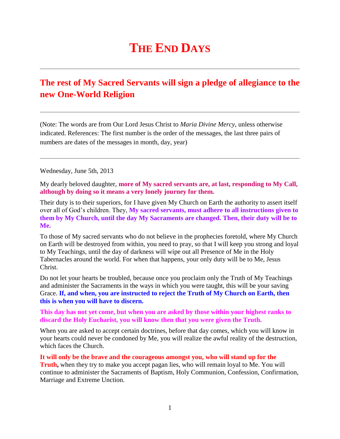## **THE END DAYS**

## **The rest of My Sacred Servants will sign a pledge of allegiance to the new One-World Religion**

(Note: The words are from Our Lord Jesus Christ to *Maria Divine Mercy*, unless otherwise indicated. References: The first number is the order of the messages, the last three pairs of numbers are dates of the messages in month, day, year)

Wednesday, June 5th, 2013

My dearly beloved daughter, **more of My sacred servants are, at last, responding to My Call, although by doing so it means a very lonely journey for them.**

Their duty is to their superiors, for I have given My Church on Earth the authority to assert itself over all of God's children. They, **My sacred servants, must adhere to all instructions given to them by My Church, until the day My Sacraments are changed. Then, their duty will be to Me.**

To those of My sacred servants who do not believe in the prophecies foretold, where My Church on Earth will be destroyed from within, you need to pray, so that I will keep you strong and loyal to My Teachings, until the day of darkness will wipe out all Presence of Me in the Holy Tabernacles around the world. For when that happens, your only duty will be to Me, Jesus Christ.

Do not let your hearts be troubled, because once you proclaim only the Truth of My Teachings and administer the Sacraments in the ways in which you were taught, this will be your saving Grace. **If, and when, you are instructed to reject the Truth of My Church on Earth, then this is when you will have to discern.**

**This day has not yet come, but when you are asked by those within your highest ranks to discard the Holy Eucharist, you will know then that you were given the Truth.**

When you are asked to accept certain doctrines, before that day comes, which you will know in your hearts could never be condoned by Me, you will realize the awful reality of the destruction, which faces the Church.

**It will only be the brave and the courageous amongst you, who will stand up for the Truth,** when they try to make you accept pagan lies, who will remain loyal to Me. You will continue to administer the Sacraments of Baptism, Holy Communion, Confession, Confirmation, Marriage and Extreme Unction.